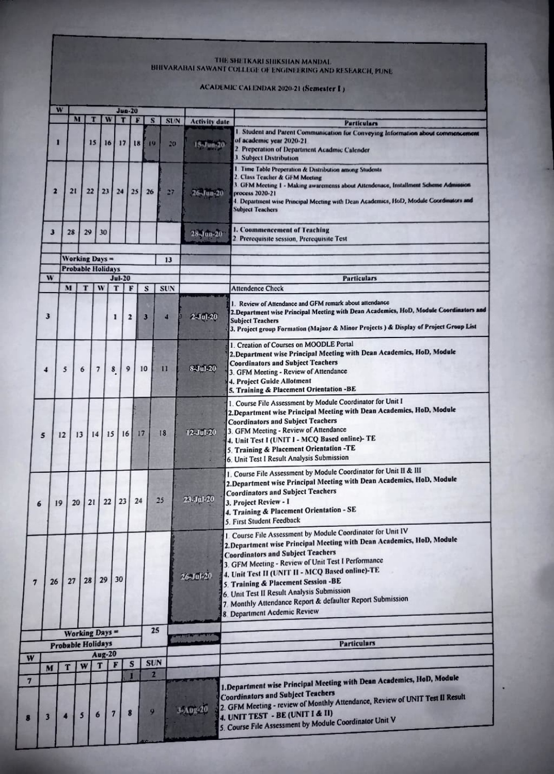## THE SHETKARI SHIKSHAN MANDAL.<br>BHIVARABAI SAWANT COLLEGE OF ENGINEERING AND RESEARCH, PUNE

## ACADEMIC CALENDAR 2020-21 (Semester 1)

|                |                                            | W  |    |                          |                          |                         | <b>Jun-20</b>           |              |                              |                 |                       |                                                                                                                                                                                                                                                                                                                                                                                                                                                                             |
|----------------|--------------------------------------------|----|----|--------------------------|--------------------------|-------------------------|-------------------------|--------------|------------------------------|-----------------|-----------------------|-----------------------------------------------------------------------------------------------------------------------------------------------------------------------------------------------------------------------------------------------------------------------------------------------------------------------------------------------------------------------------------------------------------------------------------------------------------------------------|
|                |                                            |    | M  | т                        |                          | W                       | т                       |              | s                            | <b>SUN</b>      | <b>Activity date</b>  | <b>Particulars</b>                                                                                                                                                                                                                                                                                                                                                                                                                                                          |
|                |                                            | П  |    | 15                       |                          | 16                      | 17                      | 18           | 19                           | 20 <sub>2</sub> | $15 - \frac{100}{20}$ | Student and Parent Communication for Conveying Information about commencement<br>of academic year 2020-21<br>2. Preperation of Department Acadmic Calender<br><b>J. Subject Distribution</b>                                                                                                                                                                                                                                                                                |
|                |                                            | 2  | 21 | 22                       | 23                       |                         | 24                      | 25           | 26                           | 27              | 26-Jun-20             | 1. Time Table Preperation & Distribution among Students<br>2. Class Teacher & GFM Meeting<br>3. GFM Meeting 1 - Making awaremenss about Attendenace, Installment Scheme Admission<br>process 2020-21<br>4. Department wise Principal Meeting with Dean Academics, HoD, Module Coordinators and<br><b>Subject Teachers</b>                                                                                                                                                   |
|                | 3                                          |    | 28 | 29                       | 30                       |                         |                         |              |                              |                 | 28-Jun-20             | I. Coommencement of Teaching<br>2. Prerequisite session, Prerequisite Test                                                                                                                                                                                                                                                                                                                                                                                                  |
|                |                                            |    |    | <b>Working Days =</b>    |                          |                         |                         |              |                              | 13              |                       |                                                                                                                                                                                                                                                                                                                                                                                                                                                                             |
|                |                                            |    |    | <b>Probable Holidays</b> |                          |                         |                         |              |                              |                 |                       |                                                                                                                                                                                                                                                                                                                                                                                                                                                                             |
|                | W                                          |    |    |                          |                          |                         | $Jul-20$                |              |                              |                 |                       | <b>Particulars</b>                                                                                                                                                                                                                                                                                                                                                                                                                                                          |
|                |                                            |    | M  | т                        | W                        | T                       |                         | F            | s                            | SUN             |                       | <b>Attendence Check</b>                                                                                                                                                                                                                                                                                                                                                                                                                                                     |
|                | 3                                          |    |    |                          |                          | 1                       | $\overline{\mathbf{z}}$ |              | 3                            | 4               | <b>2-Jul-20</b>       | 1. Review of Attendance and GFM remark about attendance<br>2. Department wise Principal Meeting with Dean Academics, HoD, Module Coordinators and<br><b>Subject Teachers</b><br>3. Project group Formation (Majaor & Minor Projects) & Display of Project Group List                                                                                                                                                                                                        |
|                | $\blacktriangleleft$                       | 5  |    | 6                        | $\overline{\phantom{a}}$ | 8                       | 9                       |              | 10                           | п               | <b>8-Jul-20</b>       | 1. Creation of Courses on MOODLE Portal<br>2. Department wise Principal Meeting with Dean Academics, HoD, Module<br><b>Coordinators and Subject Teachers</b><br>3. GFM Meeting - Review of Attendance<br>4. Project Guide Allotment<br>5. Training & Placement Orientation -BE                                                                                                                                                                                              |
|                | 5                                          | 12 |    | 13                       | 14                       | 15                      | 16                      | 17           |                              | 18              | $12 - Jul - 20$       | 1. Course File Assessment by Module Coordinator for Unit I<br>2. Department wise Principal Meeting with Dean Academics, HoD, Module<br><b>Coordinators and Subject Teachers</b><br>3. GFM Meeting - Review of Attendance<br>4. Unit Test I (UNIT I - MCQ Based online)-TE<br>5. Training & Placement Orientation -TE<br>6. Unit Test I Result Analysis Submission                                                                                                           |
| 6              |                                            | 19 | 20 | 21                       |                          | 22                      | 23                      | 24           |                              | 25              | 23. Jul 20            | 1. Course File Assessment by Module Coordinator for Unit II & III<br>2. Department wise Principal Meeting with Dean Academics, HoD, Module<br><b>Coordinators and Subject Teachers</b><br>3. Project Review - 1<br>4. Training & Placement Orientation - SE<br>5. First Student Feedback                                                                                                                                                                                    |
| $\overline{7}$ |                                            | 26 | 27 | 28                       | 29                       |                         | 30                      |              |                              |                 | 26-Jul-20             | 1. Course File Assessment by Module Coordinator for Unit IV<br>2. Department wise Principal Meeting with Dean Academics, HoD, Module<br><b>Coordinators and Subject Teachers</b><br>3. GFM Meeting - Review of Unit Test I Performance<br>4. Unit Test II (UNIT II - MCQ Based online)-TE<br>5. Training & Placement Session -BE<br>6. Unit Test II Result Analysis Submission<br>7. Monthly Attendance Report & defaulter Report Submission<br>8 Department Acdemic Review |
|                |                                            |    |    |                          |                          |                         |                         |              | 25                           |                 |                       |                                                                                                                                                                                                                                                                                                                                                                                                                                                                             |
|                | Working Days =<br><b>Probable Holidays</b> |    |    |                          |                          |                         |                         |              |                              |                 |                       | <b>Particulars</b>                                                                                                                                                                                                                                                                                                                                                                                                                                                          |
| v              |                                            |    |    |                          | $Aug-20$                 |                         |                         |              |                              |                 |                       |                                                                                                                                                                                                                                                                                                                                                                                                                                                                             |
|                | M                                          |    | T  | W                        | T                        |                         | F                       | $\mathbf{s}$ | <b>SUN</b>                   |                 |                       |                                                                                                                                                                                                                                                                                                                                                                                                                                                                             |
|                | $\overline{\mathbf{3}}$                    | 4  |    | $\overline{\mathbf{5}}$  | $6\phantom{a}$           | $\overline{\mathbf{z}}$ | п<br>8                  |              | $\overline{\mathbf{z}}$<br>9 |                 | 3-Aug-20              | 1. Department wise Principal Meeting with Dean Academics, HoD, Module<br><b>Coordinators and Subject Teachers</b><br>2. GFM Meeting - review of Monthly Attendance, Review of UNIT Test II Result<br>4. UNIT TEST - BE (UNIT I & II)<br>5. Course File Assessment by Module Coordinator Unit V                                                                                                                                                                              |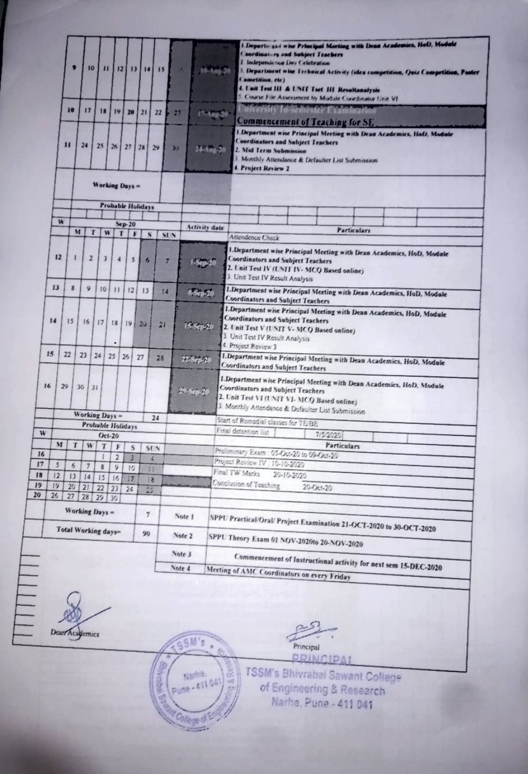|    |         | п<br>10                 | 10<br>17                 | и         | $\mathbf{H}$<br>19 <sup>1</sup> | 12113<br>20              | $\overline{14}$<br>21 | 13<br>22        | 27                 | Department wise Principal Merting with Dean Academics, Hol), Module<br>Coordinators and bubject Teachers<br>I Independence Der Celebration<br>1. Department wise Technical Activity (idea competition, C)niz Competition, Poster<br>( ometition, ric)<br>4. I mit Tout 111 & I NIT Tuet 111 Revaltanmiyuin<br>Course File Assessment by Module Conditioner Unit VE<br>Infectity to semester Exchange ton<br>548/26<br>Commencement of Teaching for SE                                                                                                                 |  |  |  |
|----|---------|-------------------------|--------------------------|-----------|---------------------------------|--------------------------|-----------------------|-----------------|--------------------|-----------------------------------------------------------------------------------------------------------------------------------------------------------------------------------------------------------------------------------------------------------------------------------------------------------------------------------------------------------------------------------------------------------------------------------------------------------------------------------------------------------------------------------------------------------------------|--|--|--|
|    |         | н                       | 24                       | 25.       |                                 |                          | $26$   27   28        | 29              | $\mu$<br>24 Aug 20 | 1 Department wise Principal Meeting with Dean Academics, Hol), Module<br>Coordinators and Subject Teachers<br>2. Mid Term Submission<br>1. Monthly Attendance & Defaulter List Submission<br>Project Review 2                                                                                                                                                                                                                                                                                                                                                         |  |  |  |
|    |         |                         |                          |           | Working Days =                  |                          |                       |                 |                    |                                                                                                                                                                                                                                                                                                                                                                                                                                                                                                                                                                       |  |  |  |
|    |         |                         |                          |           |                                 |                          | Probable Holidays     |                 |                    |                                                                                                                                                                                                                                                                                                                                                                                                                                                                                                                                                                       |  |  |  |
|    | W       |                         |                          |           |                                 |                          |                       |                 |                    |                                                                                                                                                                                                                                                                                                                                                                                                                                                                                                                                                                       |  |  |  |
|    |         |                         | M                        | T         | w                               | $Sep-20$<br>T            | F<br>$\mathbf{S}$     | SLN <sub></sub> | Activity date      | <b>Particulars</b>                                                                                                                                                                                                                                                                                                                                                                                                                                                                                                                                                    |  |  |  |
|    | 12      |                         | $\overline{z}$           |           | $\overline{\mathbf{3}}$<br>4    | $\overline{\phantom{a}}$ | 6                     | z               | <b>Sep 20</b>      | Attendence Check<br>1. Department wise Principal Meeting with Dean Academics, HoD, Module<br><b>Coordinators and Subject Teachers</b><br>2. Unit Test IV (UNIT IV-MCQ Based online)<br>3. Unit Test IV Result Analysis<br>1.Department wise Principal Meeting with Dean Academics, HoD, Module<br><b>Coordinators and Subject Teachers</b><br>1.Department wise Principal Meeting with Dean Academics, HoD, Module<br><b>Coordinators and Subject Teachers</b><br>2. Unit Test V (UNIT V- MCQ Based online)<br>3. Unit Test IV Result Analysis<br>4. Project Review 3 |  |  |  |
|    | 13      | $\overline{\mathbf{z}}$ | 9                        | 10        | $\mathbf{H}$                    | 12                       | 11                    | 14              | 8-Sep-20           |                                                                                                                                                                                                                                                                                                                                                                                                                                                                                                                                                                       |  |  |  |
| 14 |         | 15                      |                          | $16$   17 | 18<br>٠                         | 19 月                     | 29.                   | 21              | 15-Sep-20          |                                                                                                                                                                                                                                                                                                                                                                                                                                                                                                                                                                       |  |  |  |
| 15 |         | 22                      | 23                       | 24        | 25                              | 2 <sub>5</sub>           | 27                    | 28              | 22 Sep 20          | I.Department wise Principal Meeting with Dean Academics, HoD. Module<br>Coordinators and Subject Teachers                                                                                                                                                                                                                                                                                                                                                                                                                                                             |  |  |  |
| 16 |         | 29                      | 30                       | 31        |                                 |                          |                       |                 | 29-Sep-20          | 1. Department wise Principal Meeting with Dean Academics, HoD, Module<br><b>Coordinators and Subject Teachers</b><br>2. Unit Test VI (UNIT VI-MCQ Based online)<br>3. Monthly Attendance & Defaulter List Submission                                                                                                                                                                                                                                                                                                                                                  |  |  |  |
|    |         |                         |                          |           | Working Days =                  |                          |                       | 24              |                    |                                                                                                                                                                                                                                                                                                                                                                                                                                                                                                                                                                       |  |  |  |
| W  |         |                         |                          |           | Probable Holidays               |                          |                       |                 |                    | Start of Remedial classes for TE/BE<br>Final detention list                                                                                                                                                                                                                                                                                                                                                                                                                                                                                                           |  |  |  |
|    | M       | т                       |                          |           | $Oct-26$                        |                          |                       |                 |                    | 7/5/2020                                                                                                                                                                                                                                                                                                                                                                                                                                                                                                                                                              |  |  |  |
| 16 |         |                         | W                        | T         | F                               | s                        |                       | St N            |                    | Particulars<br>Preliminary Exam : 05-Oct-20 to 09-Oct-20                                                                                                                                                                                                                                                                                                                                                                                                                                                                                                              |  |  |  |
| 17 | 5       | 6                       | $\overline{\phantom{a}}$ | 8         | 2<br>9                          | з<br>10                  | ×                     |                 |                    | Project Review IV : 10-10-2020                                                                                                                                                                                                                                                                                                                                                                                                                                                                                                                                        |  |  |  |
| 18 | $12 \n$ | 13                      |                          | $14$   15 | 16                              | $\frac{1}{2}$            | 11                    |                 |                    | Final TW Marks<br>20-10-2020                                                                                                                                                                                                                                                                                                                                                                                                                                                                                                                                          |  |  |  |
| 19 | 19      | 25.                     | 21                       | 22        | 2 <sup>3</sup>                  | 24                       | B<br>$\overline{25}$  |                 |                    | Conclusion of Teaching<br>$20 - 0$ ct-20                                                                                                                                                                                                                                                                                                                                                                                                                                                                                                                              |  |  |  |
| 20 | 26      | 27                      | $28 \mid 29$             |           | 30                              |                          |                       |                 |                    |                                                                                                                                                                                                                                                                                                                                                                                                                                                                                                                                                                       |  |  |  |
|    |         |                         | Working Days =           |           |                                 |                          | $\overline{7}$        |                 | Note 1             | SPPU Practical/Oral/ Project Examination 21-OCT-2020 to 30-OCT-2020                                                                                                                                                                                                                                                                                                                                                                                                                                                                                                   |  |  |  |
|    |         |                         |                          |           | Total Working days-             |                          | 90                    |                 | Note 2             | SPPU Theory Exam 01 NOV-2020to 20-NOV-2020                                                                                                                                                                                                                                                                                                                                                                                                                                                                                                                            |  |  |  |
|    |         |                         |                          |           |                                 |                          |                       |                 | Note 3             | Commencement of Instructional activity for next sem 15-DEC-2020                                                                                                                                                                                                                                                                                                                                                                                                                                                                                                       |  |  |  |
|    |         |                         |                          |           |                                 |                          |                       |                 | Note 4             | Meeting of AMC Coordinators on every Friday                                                                                                                                                                                                                                                                                                                                                                                                                                                                                                                           |  |  |  |

Dear Academics

 $0.51$ Principal **PRINCIPAL** 

TSSM's Bhivrabai Sawant College<br>of Engineering & Research<br>Narhe, Pune - 411 041

 $5M's$ 

**College of El** 

Narhe, 211 041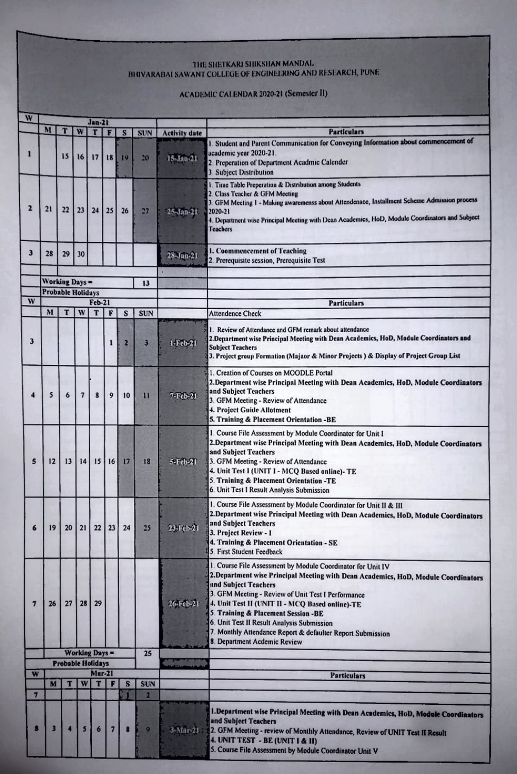## THE SHETKARI SHIKSHAN MANDAL BIJIVARABAI SAWANT COLLEGE OF ENGINEERING AND RESEARCH, PUNE

## ACADEMIC CALENDAR 2020-21 (Semester II)

| W              |                          |                          |                          |                       |                |    |              |                      |                                                                                                                                                                                                                                                                                                                                                                                                                                                                       |  |
|----------------|--------------------------|--------------------------|--------------------------|-----------------------|----------------|----|--------------|----------------------|-----------------------------------------------------------------------------------------------------------------------------------------------------------------------------------------------------------------------------------------------------------------------------------------------------------------------------------------------------------------------------------------------------------------------------------------------------------------------|--|
|                |                          |                          |                          | <b>Jan-21</b>         |                |    |              |                      |                                                                                                                                                                                                                                                                                                                                                                                                                                                                       |  |
|                | M                        | T                        | W                        | т                     | F              | S  | <b>SUN</b>   | <b>Activity date</b> | <b>Particulars</b>                                                                                                                                                                                                                                                                                                                                                                                                                                                    |  |
| 1              |                          | 15                       | 16                       | 17                    | 18             | 19 | 20           | 15-Jan-21            | 1. Student and Parent Communication for Conveying Information about commencement of<br>academic year 2020-21.<br>2 Preperation of Department Acadmic Calender<br>3. Subject Distribution                                                                                                                                                                                                                                                                              |  |
| $\mathbf{z}$   | 21                       | 22                       | 23                       | 24                    | 25             | 26 | 27           | 25-Jan-21            | 1. Time Table Preperation & Distribution among Students<br>2. Class Teacher & GFM Meeting<br>3. GFM Meeting 1 - Making awaremenss about Attendenace, Installment Scheme Admission process<br>2020-21<br>4. Department wise Principal Meeting with Dean Academics, HoD, Module Coordinators and Subject<br><b>Teachers</b>                                                                                                                                             |  |
| 3              | 28                       | 29                       | 30                       |                       |                |    |              | 28-Jan-21            | 1. Coommencement of Teaching<br>2. Prerequisite session, Prerequisite Test                                                                                                                                                                                                                                                                                                                                                                                            |  |
|                | <b>Working Days =</b>    |                          |                          |                       |                |    | 13           |                      |                                                                                                                                                                                                                                                                                                                                                                                                                                                                       |  |
|                | <b>Probable Holidays</b> |                          |                          |                       |                |    |              |                      |                                                                                                                                                                                                                                                                                                                                                                                                                                                                       |  |
| W              |                          |                          |                          | <b>Feb-21</b>         |                |    |              |                      | <b>Particulars</b>                                                                                                                                                                                                                                                                                                                                                                                                                                                    |  |
|                | M                        | т                        | W                        | T                     | F              | S  | <b>SUN</b>   |                      | <b>Attendence Check</b>                                                                                                                                                                                                                                                                                                                                                                                                                                               |  |
| 3              |                          |                          |                          |                       | 1              | 2  | 3            | 1-Feb-21             | I. Review of Attendance and GFM remark about attendance<br>2. Department wise Principal Meeting with Dean Academics, HoD, Module Coordinators and<br><b>Subject Teachers</b><br>3. Project group Formation (Majaor & Minor Projects) & Display of Project Group List                                                                                                                                                                                                  |  |
| 4              | 5                        | 6                        | $\overline{\phantom{a}}$ | 8                     | 9              | 10 | п            | 7-Feb-21             | 1. Creation of Courses on MOODLE Portal<br>2. Department wise Principal Meeting with Dean Academics, HoD, Module Coordinators<br>and Subject Teachers<br>3. GFM Meeting - Review of Attendance<br>4. Project Guide Allotment<br>5. Training & Placement Orientation -BE                                                                                                                                                                                               |  |
| 5              | 12                       | 13                       | 14                       | 15                    | 16             | 17 | 18           | 5-Feb-21             | I. Course File Assessment by Module Coordinator for Unit I<br>2. Department wise Principal Meeting with Dean Academics, HoD, Module Coordinators<br>and Subject Teachers<br>3. GFM Meeting - Review of Attendance<br>4. Unit Test I (UNIT I - MCQ Based online)- TE<br>5. Training & Placement Orientation -TE<br>6. Unit Test I Result Analysis Submission                                                                                                           |  |
| 6              | 19                       | 20                       | 21                       | 22                    | 23             | 24 | 25           | 23-170-21            | 1. Course File Assessment by Module Coordinator for Unit II & III<br>2. Department wise Principal Meeting with Dean Academics, HoD, Module Coordinators<br>and Subject Teachers<br>3. Project Review - 1<br>4. Training & Placement Orientation - SE<br>5. First Student Feedback                                                                                                                                                                                     |  |
| $\overline{7}$ | 26                       | 27                       | 28                       | 29                    |                |    |              | 26 Feb 21            | 1. Course File Assessment by Module Coordinator for Unit IV<br>2. Department wise Principal Meeting with Dean Academics, HoD, Module Coordinators<br>and Subject Teachers<br>3. GFM Meeting - Review of Unit Test I Performance<br>4. Unit Test II (UNIT II - MCQ Based online)-TE<br>5. Training & Placement Session -BE<br>6. Unit Test II Result Analysis Submission<br>7. Monthly Attendance Report & defaulter Report Submission<br>8. Department Acdemic Review |  |
|                |                          |                          |                          | <b>Working Days =</b> |                |    | 25           |                      |                                                                                                                                                                                                                                                                                                                                                                                                                                                                       |  |
| W              |                          | <b>Probable Holidays</b> |                          | <b>Mar-21</b>         |                |    |              |                      |                                                                                                                                                                                                                                                                                                                                                                                                                                                                       |  |
|                | M                        | П                        | W                        | T                     | F              | S  | <b>SUN</b>   |                      | <b>Particulars</b>                                                                                                                                                                                                                                                                                                                                                                                                                                                    |  |
| $\overline{7}$ |                          |                          |                          |                       |                |    | z            |                      |                                                                                                                                                                                                                                                                                                                                                                                                                                                                       |  |
| 8              | 3                        |                          | $\mathbf{5}$             | $\epsilon$            | 7 <sup>1</sup> | 8  | $\mathbf{Q}$ | 3-Mar-21             | I. Department wise Principal Meeting with Dean Academics, HoD, Module Coordinators<br>and Subject Teachers<br>2. GFM Meeting - review of Monthly Attendance, Review of UNIT Test II Result<br>4. UNIT TEST - BE (UNIT I & II)<br>5. Course File Assessment by Module Coordinator Unit V                                                                                                                                                                               |  |